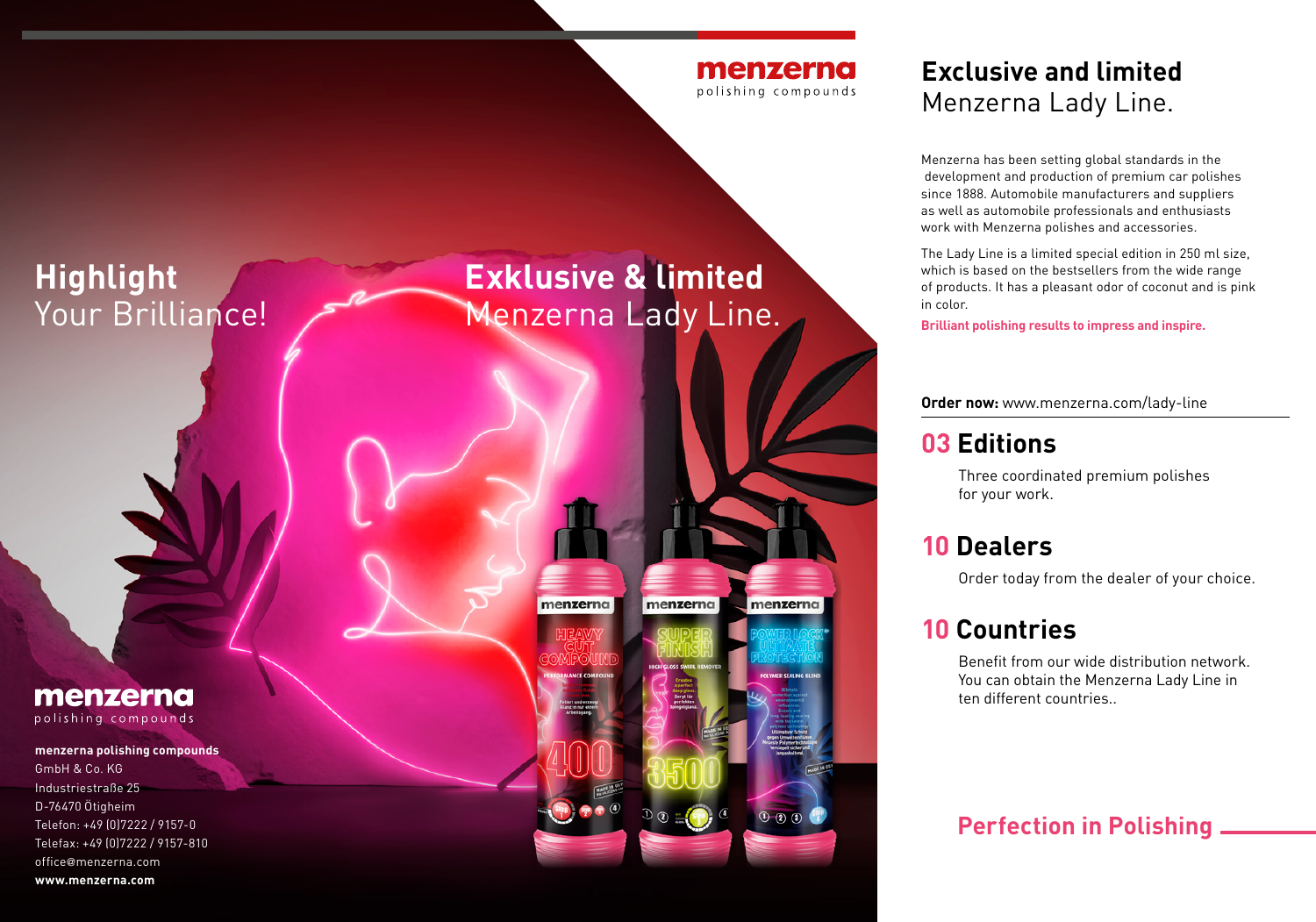

## **Highlight**  Your Brilliance!

# **Exklusive & limited** Menzerna Lady Line.



#### **Exclusive and limited** Menzerna Lady Line.

Menzerna has been setting global standards in the development and production of premium car polishes since 1888. Automobile manufacturers and suppliers as well as automobile professionals and enthusiasts work with Menzerna polishes and accessories.

The Lady Line is a limited special edition in 250 ml size, which is based on the bestsellers from the wide range of products. It has a pleasant odor of coconut and is pink in color.

**Brilliant polishing results to impress and inspire.** 

**Order now:** www.menzerna.com/lady-line

### **03 Editions**

Three coordinated premium polishes for your work.

#### **10 Dealers**

Order today from the dealer of your choice.

#### **10 Countries**

Benefit from our wide distribution network. You can obtain the Menzerna Lady Line in ten different countries..

#### **Perfection in Polishing**

menzerna polishing compounds

#### **menzerna polishing compounds**

GmbH & Co. KG Industriestraße 25 D-76470 Ötigheim Telefon: +49 (0)7222 / 9157-0 Telefax: +49 (0)7222 / 9157-810 office@menzerna.com **www.menzerna.com**